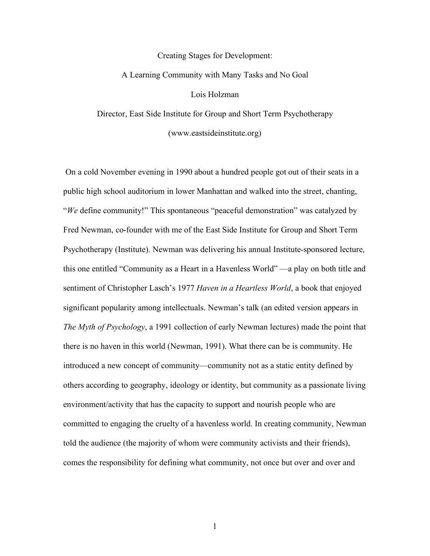## Creating Stages for Development:

#### A Learning Community with Many Tasks and No Goal

## Lois Holzman

Director, East Side Institute for Group and Short Term Psychotherapy

(www.eastsideinstitute.org)

 On a cold November evening in 1990 about a hundred people got out of their seats in a public high school auditorium in lower Manhattan and walked into the street, chanting, "*We* define community!" This spontaneous "peaceful demonstration" was catalyzed by Fred Newman, co-founder with me of the East Side Institute for Group and Short Term Psychotherapy (Institute). Newman was delivering his annual Institute-sponsored lecture, this one entitled "Community as a Heart in a Havenless World" —a play on both title and sentiment of Christopher Lasch's 1977 *Haven in a Heartless World*, a book that enjoyed significant popularity among intellectuals. Newman's talk (an edited version appears in *The Myth of Psychology*, a 1991 collection of early Newman lectures) made the point that there is no haven in this world (Newman, 1991). What there can be is community. He introduced a new concept of community—community not as a static entity defined by others according to geography, ideology or identity, but community as a passionate living environment/activity that has the capacity to support and nourish people who are committed to engaging the cruelty of a havenless world. In creating community, Newman told the audience (the majority of whom were community activists and their friends), comes the responsibility for defining what community, not once but over and over and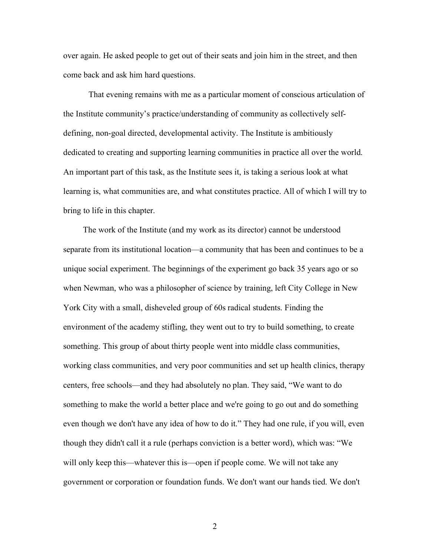over again. He asked people to get out of their seats and join him in the street, and then come back and ask him hard questions.

That evening remains with me as a particular moment of conscious articulation of the Institute community's practice/understanding of community as collectively selfdefining, non-goal directed, developmental activity. The Institute is ambitiously dedicated to creating and supporting learning communities in practice all over the world. An important part of this task, as the Institute sees it, is taking a serious look at what learning is, what communities are, and what constitutes practice. All of which I will try to bring to life in this chapter.

The work of the Institute (and my work as its director) cannot be understood separate from its institutional location—a community that has been and continues to be a unique social experiment. The beginnings of the experiment go back 35 years ago or so when Newman, who was a philosopher of science by training, left City College in New York City with a small, disheveled group of 60s radical students. Finding the environment of the academy stifling, they went out to try to build something, to create something. This group of about thirty people went into middle class communities, working class communities, and very poor communities and set up health clinics, therapy centers, free schools—and they had absolutely no plan. They said, "We want to do something to make the world a better place and we're going to go out and do something even though we don't have any idea of how to do it." They had one rule, if you will, even though they didn't call it a rule (perhaps conviction is a better word), which was: "We will only keep this—whatever this is—open if people come. We will not take any government or corporation or foundation funds. We don't want our hands tied. We don't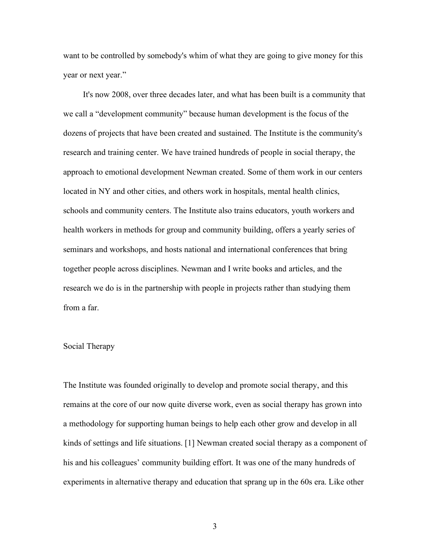want to be controlled by somebody's whim of what they are going to give money for this year or next year."

It's now 2008, over three decades later, and what has been built is a community that we call a "development community" because human development is the focus of the dozens of projects that have been created and sustained. The Institute is the community's research and training center. We have trained hundreds of people in social therapy, the approach to emotional development Newman created. Some of them work in our centers located in NY and other cities, and others work in hospitals, mental health clinics, schools and community centers. The Institute also trains educators, youth workers and health workers in methods for group and community building, offers a yearly series of seminars and workshops, and hosts national and international conferences that bring together people across disciplines. Newman and I write books and articles, and the research we do is in the partnership with people in projects rather than studying them from a far.

## Social Therapy

The Institute was founded originally to develop and promote social therapy, and this remains at the core of our now quite diverse work, even as social therapy has grown into a methodology for supporting human beings to help each other grow and develop in all kinds of settings and life situations. [1] Newman created social therapy as a component of his and his colleagues' community building effort. It was one of the many hundreds of experiments in alternative therapy and education that sprang up in the 60s era. Like other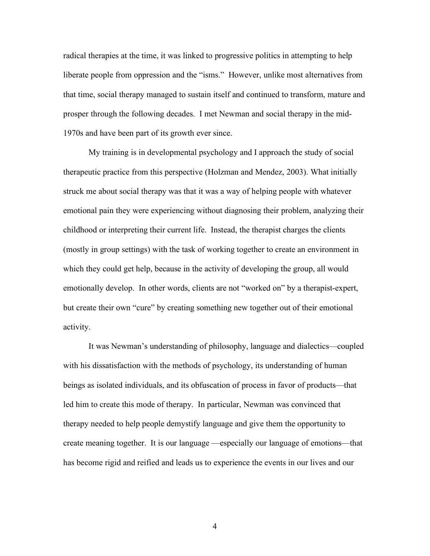radical therapies at the time, it was linked to progressive politics in attempting to help liberate people from oppression and the "isms." However, unlike most alternatives from that time, social therapy managed to sustain itself and continued to transform, mature and prosper through the following decades. I met Newman and social therapy in the mid-1970s and have been part of its growth ever since.

My training is in developmental psychology and I approach the study of social therapeutic practice from this perspective (Holzman and Mendez, 2003). What initially struck me about social therapy was that it was a way of helping people with whatever emotional pain they were experiencing without diagnosing their problem, analyzing their childhood or interpreting their current life. Instead, the therapist charges the clients (mostly in group settings) with the task of working together to create an environment in which they could get help, because in the activity of developing the group, all would emotionally develop. In other words, clients are not "worked on" by a therapist-expert, but create their own "cure" by creating something new together out of their emotional activity.

It was Newman's understanding of philosophy, language and dialectics—coupled with his dissatisfaction with the methods of psychology, its understanding of human beings as isolated individuals, and its obfuscation of process in favor of products—that led him to create this mode of therapy. In particular, Newman was convinced that therapy needed to help people demystify language and give them the opportunity to create meaning together. It is our language —especially our language of emotions—that has become rigid and reified and leads us to experience the events in our lives and our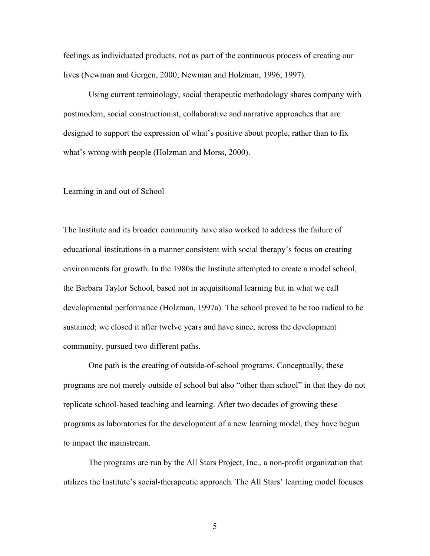feelings as individuated products, not as part of the continuous process of creating our lives (Newman and Gergen, 2000; Newman and Holzman, 1996, 1997).

Using current terminology, social therapeutic methodology shares company with postmodern, social constructionist, collaborative and narrative approaches that are designed to support the expression of what's positive about people, rather than to fix what's wrong with people (Holzman and Morss, 2000).

# Learning in and out of School

The Institute and its broader community have also worked to address the failure of educational institutions in a manner consistent with social therapy's focus on creating environments for growth. In the 1980s the Institute attempted to create a model school, the Barbara Taylor School, based not in acquisitional learning but in what we call developmental performance (Holzman, 1997a). The school proved to be too radical to be sustained; we closed it after twelve years and have since, across the development community, pursued two different paths.

One path is the creating of outside-of-school programs. Conceptually, these programs are not merely outside of school but also "other than school" in that they do not replicate school-based teaching and learning. After two decades of growing these programs as laboratories for the development of a new learning model, they have begun to impact the mainstream.

The programs are run by the All Stars Project, Inc., a non-profit organization that utilizes the Institute's social-therapeutic approach. The All Stars' learning model focuses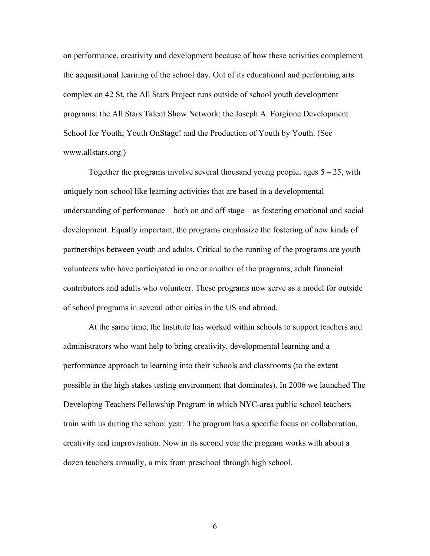on performance, creativity and development because of how these activities complement the acquisitional learning of the school day. Out of its educational and performing arts complex on 42 St, the All Stars Project runs outside of school youth development programs: the All Stars Talent Show Network; the Joseph A. Forgione Development School for Youth; Youth OnStage! and the Production of Youth by Youth. (See www.allstars.org.)

Together the programs involve several thousand young people, ages  $5 - 25$ , with uniquely non-school like learning activities that are based in a developmental understanding of performance—both on and off stage—as fostering emotional and social development. Equally important, the programs emphasize the fostering of new kinds of partnerships between youth and adults. Critical to the running of the programs are youth volunteers who have participated in one or another of the programs, adult financial contributors and adults who volunteer. These programs now serve as a model for outside of school programs in several other cities in the US and abroad.

At the same time, the Institute has worked within schools to support teachers and administrators who want help to bring creativity, developmental learning and a performance approach to learning into their schools and classrooms (to the extent possible in the high stakes testing environment that dominates). In 2006 we launched The Developing Teachers Fellowship Program in which NYC-area public school teachers train with us during the school year. The program has a specific focus on collaboration, creativity and improvisation. Now in its second year the program works with about a dozen teachers annually, a mix from preschool through high school.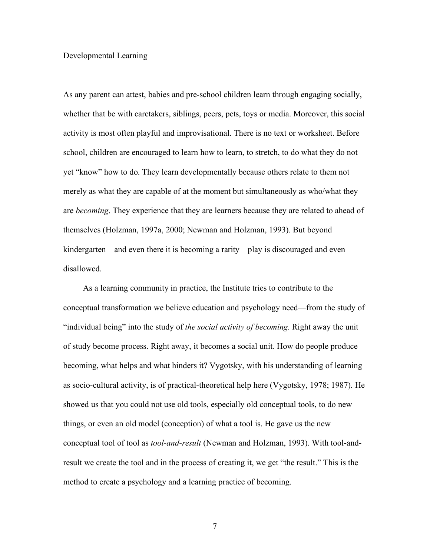## Developmental Learning

As any parent can attest, babies and pre-school children learn through engaging socially, whether that be with caretakers, siblings, peers, pets, toys or media. Moreover, this social activity is most often playful and improvisational. There is no text or worksheet. Before school, children are encouraged to learn how to learn, to stretch, to do what they do not yet "know" how to do. They learn developmentally because others relate to them not merely as what they are capable of at the moment but simultaneously as who/what they are *becoming*. They experience that they are learners because they are related to ahead of themselves (Holzman, 1997a, 2000; Newman and Holzman, 1993). But beyond kindergarten—and even there it is becoming a rarity—play is discouraged and even disallowed.

As a learning community in practice, the Institute tries to contribute to the conceptual transformation we believe education and psychology need—from the study of "individual being" into the study of *the social activity of becoming.* Right away the unit of study become process. Right away, it becomes a social unit. How do people produce becoming, what helps and what hinders it? Vygotsky, with his understanding of learning as socio-cultural activity, is of practical-theoretical help here (Vygotsky, 1978; 1987). He showed us that you could not use old tools, especially old conceptual tools, to do new things, or even an old model (conception) of what a tool is. He gave us the new conceptual tool of tool as *tool-and-result* (Newman and Holzman, 1993). With tool-andresult we create the tool and in the process of creating it, we get "the result." This is the method to create a psychology and a learning practice of becoming.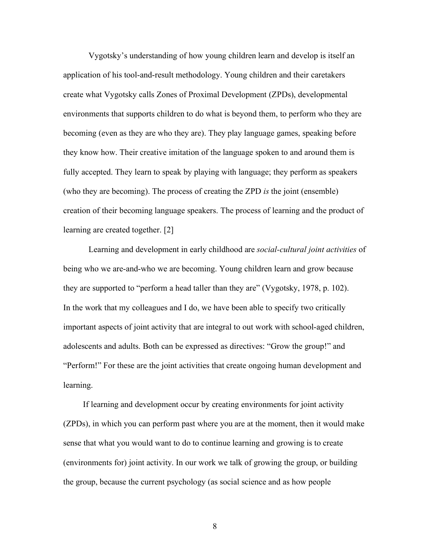Vygotsky's understanding of how young children learn and develop is itself an application of his tool-and-result methodology. Young children and their caretakers create what Vygotsky calls Zones of Proximal Development (ZPDs), developmental environments that supports children to do what is beyond them, to perform who they are becoming (even as they are who they are). They play language games, speaking before they know how. Their creative imitation of the language spoken to and around them is fully accepted. They learn to speak by playing with language; they perform as speakers (who they are becoming). The process of creating the ZPD *is* the joint (ensemble) creation of their becoming language speakers. The process of learning and the product of learning are created together. [2]

Learning and development in early childhood are *social-cultural joint activities* of being who we are-and-who we are becoming. Young children learn and grow because they are supported to "perform a head taller than they are" (Vygotsky, 1978, p. 102). In the work that my colleagues and I do, we have been able to specify two critically important aspects of joint activity that are integral to out work with school-aged children, adolescents and adults. Both can be expressed as directives: "Grow the group!" and "Perform!" For these are the joint activities that create ongoing human development and learning.

If learning and development occur by creating environments for joint activity (ZPDs), in which you can perform past where you are at the moment, then it would make sense that what you would want to do to continue learning and growing is to create (environments for) joint activity. In our work we talk of growing the group, or building the group, because the current psychology (as social science and as how people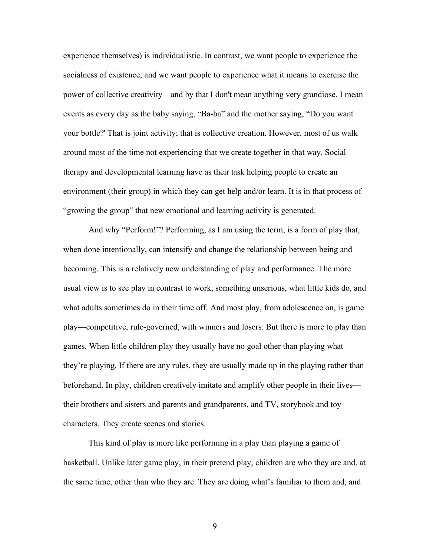experience themselves) is individualistic. In contrast, we want people to experience the socialness of existence, and we want people to experience what it means to exercise the power of collective creativity—and by that I don't mean anything very grandiose. I mean events as every day as the baby saying, "Ba-ba" and the mother saying, "Do you want your bottle?' That is joint activity; that is collective creation. However, most of us walk around most of the time not experiencing that we create together in that way. Social therapy and developmental learning have as their task helping people to create an environment (their group) in which they can get help and/or learn. It is in that process of "growing the group" that new emotional and learning activity is generated.

And why "Perform!"? Performing, as I am using the term, is a form of play that, when done intentionally, can intensify and change the relationship between being and becoming. This is a relatively new understanding of play and performance. The more usual view is to see play in contrast to work, something unserious, what little kids do, and what adults sometimes do in their time off. And most play, from adolescence on, is game play—competitive, rule-governed, with winners and losers. But there is more to play than games. When little children play they usually have no goal other than playing what they're playing. If there are any rules, they are usually made up in the playing rather than beforehand. In play, children creatively imitate and amplify other people in their lives their brothers and sisters and parents and grandparents, and TV, storybook and toy characters. They create scenes and stories.

This kind of play is more like performing in a play than playing a game of basketball. Unlike later game play, in their pretend play, children are who they are and, at the same time, other than who they are. They are doing what's familiar to them and, and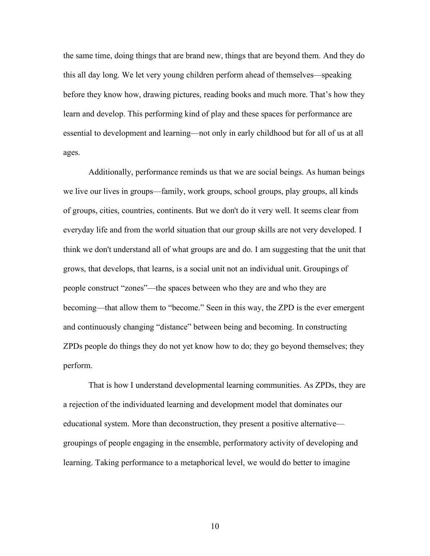the same time, doing things that are brand new, things that are beyond them. And they do this all day long. We let very young children perform ahead of themselves—speaking before they know how, drawing pictures, reading books and much more. That's how they learn and develop. This performing kind of play and these spaces for performance are essential to development and learning—not only in early childhood but for all of us at all ages.

Additionally, performance reminds us that we are social beings. As human beings we live our lives in groups—family, work groups, school groups, play groups, all kinds of groups, cities, countries, continents. But we don't do it very well. It seems clear from everyday life and from the world situation that our group skills are not very developed. I think we don't understand all of what groups are and do. I am suggesting that the unit that grows, that develops, that learns, is a social unit not an individual unit. Groupings of people construct "zones"—the spaces between who they are and who they are becoming—that allow them to "become." Seen in this way, the ZPD is the ever emergent and continuously changing "distance" between being and becoming. In constructing ZPDs people do things they do not yet know how to do; they go beyond themselves; they perform.

That is how I understand developmental learning communities. As ZPDs, they are a rejection of the individuated learning and development model that dominates our educational system. More than deconstruction, they present a positive alternative groupings of people engaging in the ensemble, performatory activity of developing and learning. Taking performance to a metaphorical level, we would do better to imagine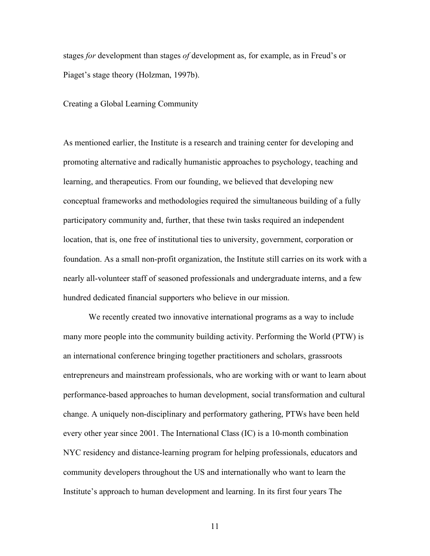stages *for* development than stages *of* development as, for example, as in Freud's or Piaget's stage theory (Holzman, 1997b).

Creating a Global Learning Community

As mentioned earlier, the Institute is a research and training center for developing and promoting alternative and radically humanistic approaches to psychology, teaching and learning, and therapeutics. From our founding, we believed that developing new conceptual frameworks and methodologies required the simultaneous building of a fully participatory community and, further, that these twin tasks required an independent location, that is, one free of institutional ties to university, government, corporation or foundation. As a small non-profit organization, the Institute still carries on its work with a nearly all-volunteer staff of seasoned professionals and undergraduate interns, and a few hundred dedicated financial supporters who believe in our mission.

We recently created two innovative international programs as a way to include many more people into the community building activity. Performing the World (PTW) is an international conference bringing together practitioners and scholars, grassroots entrepreneurs and mainstream professionals, who are working with or want to learn about performance-based approaches to human development, social transformation and cultural change. A uniquely non-disciplinary and performatory gathering, PTWs have been held every other year since 2001. The International Class (IC) is a 10-month combination NYC residency and distance-learning program for helping professionals, educators and community developers throughout the US and internationally who want to learn the Institute's approach to human development and learning. In its first four years The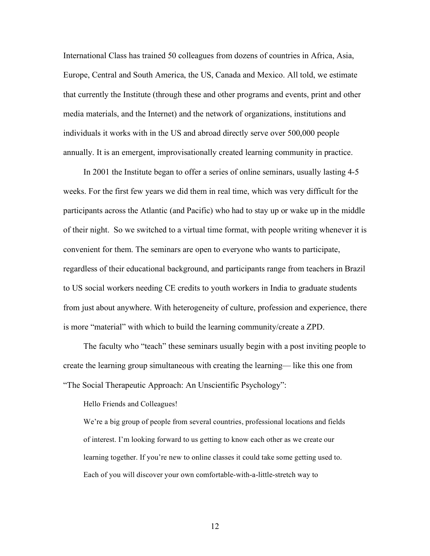International Class has trained 50 colleagues from dozens of countries in Africa, Asia, Europe, Central and South America, the US, Canada and Mexico. All told, we estimate that currently the Institute (through these and other programs and events, print and other media materials, and the Internet) and the network of organizations, institutions and individuals it works with in the US and abroad directly serve over 500,000 people annually. It is an emergent, improvisationally created learning community in practice.

In 2001 the Institute began to offer a series of online seminars, usually lasting 4-5 weeks. For the first few years we did them in real time, which was very difficult for the participants across the Atlantic (and Pacific) who had to stay up or wake up in the middle of their night. So we switched to a virtual time format, with people writing whenever it is convenient for them. The seminars are open to everyone who wants to participate, regardless of their educational background, and participants range from teachers in Brazil to US social workers needing CE credits to youth workers in India to graduate students from just about anywhere. With heterogeneity of culture, profession and experience, there is more "material" with which to build the learning community/create a ZPD.

The faculty who "teach" these seminars usually begin with a post inviting people to create the learning group simultaneous with creating the learning— like this one from "The Social Therapeutic Approach: An Unscientific Psychology":

Hello Friends and Colleagues!

We're a big group of people from several countries, professional locations and fields of interest. I'm looking forward to us getting to know each other as we create our learning together. If you're new to online classes it could take some getting used to. Each of you will discover your own comfortable-with-a-little-stretch way to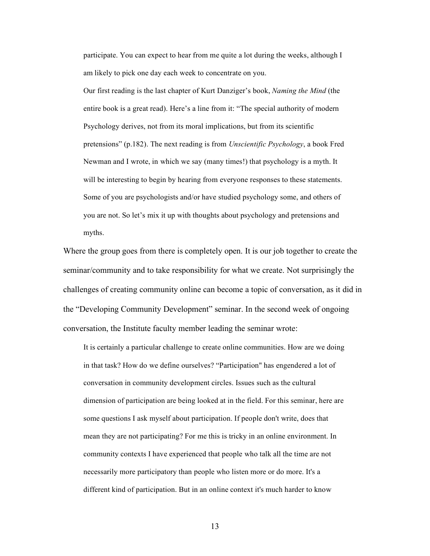participate. You can expect to hear from me quite a lot during the weeks, although I am likely to pick one day each week to concentrate on you.

Our first reading is the last chapter of Kurt Danziger's book, *Naming the Mind* (the entire book is a great read). Here's a line from it: "The special authority of modern Psychology derives, not from its moral implications, but from its scientific pretensions" (p.182). The next reading is from *Unscientific Psychology*, a book Fred Newman and I wrote, in which we say (many times!) that psychology is a myth. It will be interesting to begin by hearing from everyone responses to these statements. Some of you are psychologists and/or have studied psychology some, and others of you are not. So let's mix it up with thoughts about psychology and pretensions and myths.

Where the group goes from there is completely open. It is our job together to create the seminar/community and to take responsibility for what we create. Not surprisingly the challenges of creating community online can become a topic of conversation, as it did in the "Developing Community Development" seminar. In the second week of ongoing conversation, the Institute faculty member leading the seminar wrote:

It is certainly a particular challenge to create online communities. How are we doing in that task? How do we define ourselves? "Participation" has engendered a lot of conversation in community development circles. Issues such as the cultural dimension of participation are being looked at in the field. For this seminar, here are some questions I ask myself about participation. If people don't write, does that mean they are not participating? For me this is tricky in an online environment. In community contexts I have experienced that people who talk all the time are not necessarily more participatory than people who listen more or do more. It's a different kind of participation. But in an online context it's much harder to know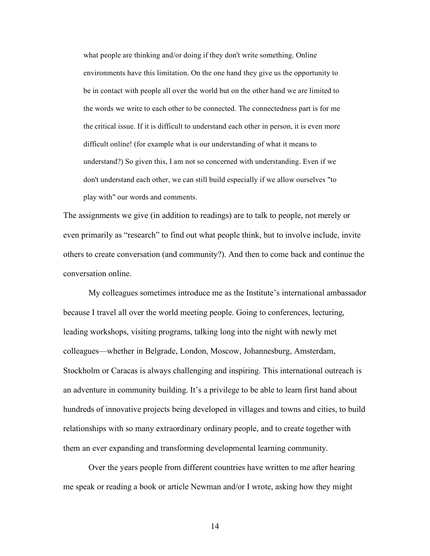what people are thinking and/or doing if they don't write something. Online environments have this limitation. On the one hand they give us the opportunity to be in contact with people all over the world but on the other hand we are limited to the words we write to each other to be connected. The connectedness part is for me the critical issue. If it is difficult to understand each other in person, it is even more difficult online! (for example what is our understanding of what it means to understand?) So given this, I am not so concerned with understanding. Even if we don't understand each other, we can still build especially if we allow ourselves "to play with" our words and comments.

The assignments we give (in addition to readings) are to talk to people, not merely or even primarily as "research" to find out what people think, but to involve include, invite others to create conversation (and community?). And then to come back and continue the conversation online.

My colleagues sometimes introduce me as the Institute's international ambassador because I travel all over the world meeting people. Going to conferences, lecturing, leading workshops, visiting programs, talking long into the night with newly met colleagues—whether in Belgrade, London, Moscow, Johannesburg, Amsterdam, Stockholm or Caracas is always challenging and inspiring. This international outreach is an adventure in community building. It's a privilege to be able to learn first hand about hundreds of innovative projects being developed in villages and towns and cities, to build relationships with so many extraordinary ordinary people, and to create together with them an ever expanding and transforming developmental learning community.

Over the years people from different countries have written to me after hearing me speak or reading a book or article Newman and/or I wrote, asking how they might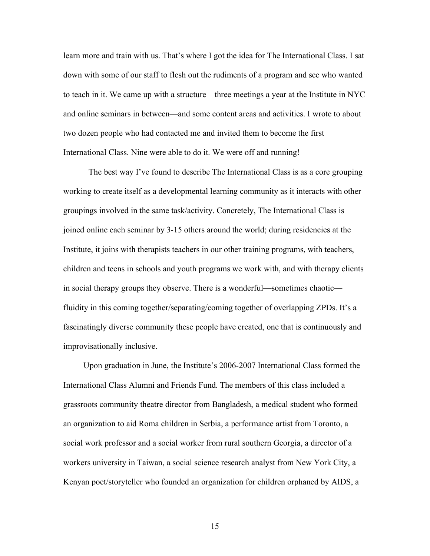learn more and train with us. That's where I got the idea for The International Class. I sat down with some of our staff to flesh out the rudiments of a program and see who wanted to teach in it. We came up with a structure—three meetings a year at the Institute in NYC and online seminars in between—and some content areas and activities. I wrote to about two dozen people who had contacted me and invited them to become the first International Class. Nine were able to do it. We were off and running!

The best way I've found to describe The International Class is as a core grouping working to create itself as a developmental learning community as it interacts with other groupings involved in the same task/activity. Concretely, The International Class is joined online each seminar by 3-15 others around the world; during residencies at the Institute, it joins with therapists teachers in our other training programs, with teachers, children and teens in schools and youth programs we work with, and with therapy clients in social therapy groups they observe. There is a wonderful—sometimes chaotic fluidity in this coming together/separating/coming together of overlapping ZPDs. It's a fascinatingly diverse community these people have created, one that is continuously and improvisationally inclusive.

Upon graduation in June, the Institute's 2006-2007 International Class formed the International Class Alumni and Friends Fund. The members of this class included a grassroots community theatre director from Bangladesh, a medical student who formed an organization to aid Roma children in Serbia, a performance artist from Toronto, a social work professor and a social worker from rural southern Georgia, a director of a workers university in Taiwan, a social science research analyst from New York City, a Kenyan poet/storyteller who founded an organization for children orphaned by AIDS, a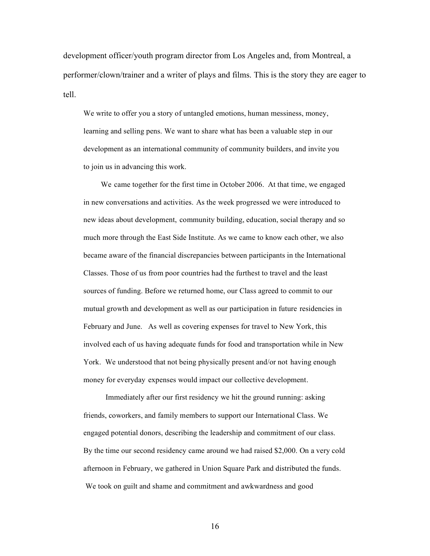development officer/youth program director from Los Angeles and, from Montreal, a performer/clown/trainer and a writer of plays and films. This is the story they are eager to tell.

We write to offer you a story of untangled emotions, human messiness, money, learning and selling pens. We want to share what has been a valuable step in our development as an international community of community builders, and invite you to join us in advancing this work.

 We came together for the first time in October 2006. At that time, we engaged in new conversations and activities. As the week progressed we were introduced to new ideas about development, community building, education, social therapy and so much more through the East Side Institute. As we came to know each other, we also became aware of the financial discrepancies between participants in the International Classes. Those of us from poor countries had the furthest to travel and the least sources of funding. Before we returned home, our Class agreed to commit to our mutual growth and development as well as our participation in future residencies in February and June. As well as covering expenses for travel to New York, this involved each of us having adequate funds for food and transportation while in New York. We understood that not being physically present and/or not having enough money for everyday expenses would impact our collective development.

 Immediately after our first residency we hit the ground running: asking friends, coworkers, and family members to support our International Class. We engaged potential donors, describing the leadership and commitment of our class. By the time our second residency came around we had raised \$2,000. On a very cold afternoon in February, we gathered in Union Square Park and distributed the funds. We took on guilt and shame and commitment and awkwardness and good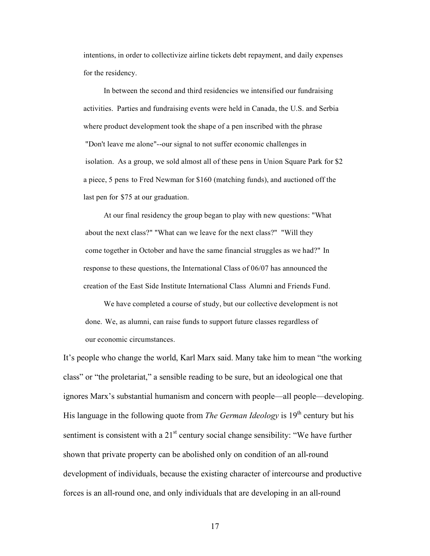intentions, in order to collectivize airline tickets debt repayment, and daily expenses for the residency.

In between the second and third residencies we intensified our fundraising activities. Parties and fundraising events were held in Canada, the U.S. and Serbia where product development took the shape of a pen inscribed with the phrase "Don't leave me alone"--our signal to not suffer economic challenges in isolation. As a group, we sold almost all of these pens in Union Square Park for \$2 a piece, 5 pens to Fred Newman for \$160 (matching funds), and auctioned off the last pen for \$75 at our graduation.

At our final residency the group began to play with new questions: "What about the next class?" "What can we leave for the next class?" "Will they come together in October and have the same financial struggles as we had?" In response to these questions, the International Class of 06/07 has announced the creation of the East Side Institute International Class Alumni and Friends Fund.

We have completed a course of study, but our collective development is not done. We, as alumni, can raise funds to support future classes regardless of our economic circumstances.

It's people who change the world, Karl Marx said. Many take him to mean "the working class" or "the proletariat," a sensible reading to be sure, but an ideological one that ignores Marx's substantial humanism and concern with people—all people—developing. His language in the following quote from *The German Ideology* is 19<sup>th</sup> century but his sentiment is consistent with a  $21<sup>st</sup>$  century social change sensibility: "We have further shown that private property can be abolished only on condition of an all-round development of individuals, because the existing character of intercourse and productive forces is an all-round one, and only individuals that are developing in an all-round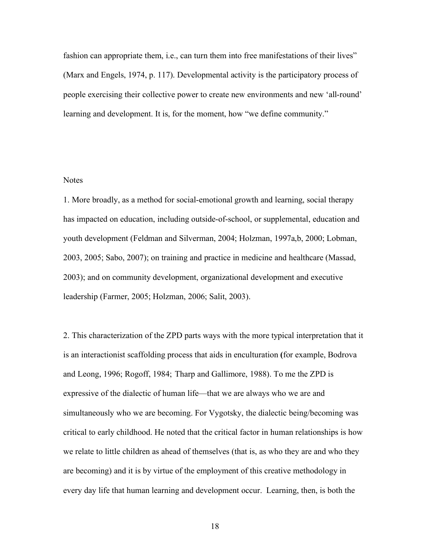fashion can appropriate them, i.e., can turn them into free manifestations of their lives" (Marx and Engels, 1974, p. 117). Developmental activity is the participatory process of people exercising their collective power to create new environments and new 'all-round' learning and development. It is, for the moment, how "we define community."

# **Notes**

1. More broadly, as a method for social-emotional growth and learning, social therapy has impacted on education, including outside-of-school, or supplemental, education and youth development (Feldman and Silverman, 2004; Holzman, 1997a,b, 2000; Lobman, 2003, 2005; Sabo, 2007); on training and practice in medicine and healthcare (Massad, 2003); and on community development, organizational development and executive leadership (Farmer, 2005; Holzman, 2006; Salit, 2003).

2. This characterization of the ZPD parts ways with the more typical interpretation that it is an interactionist scaffolding process that aids in enculturation **(**for example, Bodrova and Leong, 1996; Rogoff, 1984; Tharp and Gallimore, 1988). To me the ZPD is expressive of the dialectic of human life—that we are always who we are and simultaneously who we are becoming. For Vygotsky, the dialectic being/becoming was critical to early childhood. He noted that the critical factor in human relationships is how we relate to little children as ahead of themselves (that is, as who they are and who they are becoming) and it is by virtue of the employment of this creative methodology in every day life that human learning and development occur. Learning, then, is both the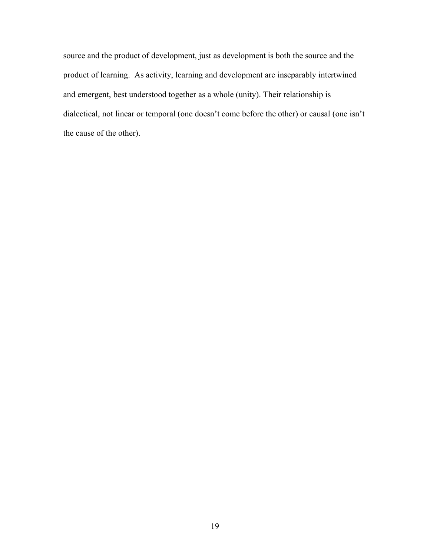source and the product of development, just as development is both the source and the product of learning. As activity, learning and development are inseparably intertwined and emergent, best understood together as a whole (unity). Their relationship is dialectical, not linear or temporal (one doesn't come before the other) or causal (one isn't the cause of the other).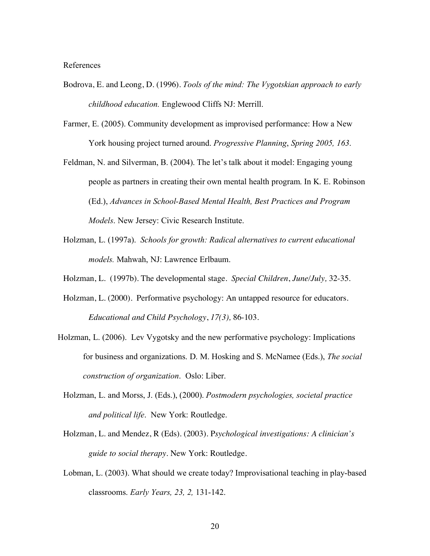#### References

- Bodrova, E. and Leong, D. (1996). *Tools of the mind: The Vygotskian approach to early childhood education.* Englewood Cliffs NJ: Merrill.
- Farmer, E. (2005). Community development as improvised performance: How a New York housing project turned around. *Progressive Planning*, *Spring 2005, 163*.
- Feldman, N. and Silverman, B. (2004). The let's talk about it model: Engaging young people as partners in creating their own mental health program. In K. E. Robinson (Ed.), *Advances in School-Based Mental Health, Best Practices and Program Models*. New Jersey: Civic Research Institute.
- Holzman, L. (1997a). *Schools for growth: Radical alternatives to current educational models.* Mahwah, NJ: Lawrence Erlbaum.
- Holzman, L. (1997b). The developmental stage. *Special Children*, *June/July,* 32-35.
- Holzman, L. (2000). Performative psychology: An untapped resource for educators. *Educational and Child Psychology*, *17(3),* 86-103.
- Holzman, L. (2006). Lev Vygotsky and the new performative psychology: Implications for business and organizations. D. M. Hosking and S. McNamee (Eds.), *The social construction of organization*. Oslo: Liber.
	- Holzman, L. and Morss, J. (Eds.), (2000). *Postmodern psychologies, societal practice and political life*. New York: Routledge.
	- Holzman, L. and Mendez, R (Eds). (2003). P*sychological investigations: A clinician's guide to social therapy*. New York: Routledge.
	- Lobman, L. (2003). What should we create today? Improvisational teaching in play-based classrooms. *Early Years, 23, 2,* 131-142.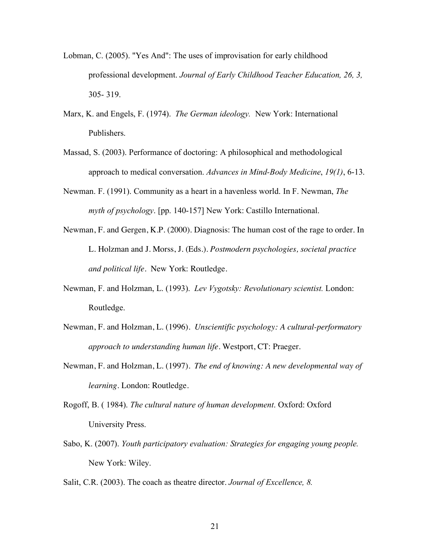- Lobman, C. (2005). "Yes And": The uses of improvisation for early childhood professional development. *Journal of Early Childhood Teacher Education, 26, 3,*  305- 319.
- Marx, K. and Engels, F. (1974). *The German ideology.* New York: International Publishers.
- Massad, S. (2003). Performance of doctoring: A philosophical and methodological approach to medical conversation. *Advances in Mind-Body Medicine*, *19(1)*, 6-13.
- Newman. F. (1991). Community as a heart in a havenless world. In F. Newman, *The myth of psychology*. [pp. 140-157] New York: Castillo International.
- Newman, F. and Gergen, K.P. (2000). Diagnosis: The human cost of the rage to order. In L. Holzman and J. Morss, J. (Eds.). *Postmodern psychologies, societal practice and political life*. New York: Routledge.
- Newman, F. and Holzman, L. (1993). *Lev Vygotsky: Revolutionary scientist.* London: Routledge.
- Newman, F. and Holzman, L. (1996). *Unscientific psychology: A cultural-performatory approach to understanding human life.* Westport, CT: Praeger.
- Newman, F. and Holzman, L. (1997). *The end of knowing: A new developmental way of learning*. London: Routledge.
- Rogoff, B. ( 1984). *The cultural nature of human development*. Oxford: Oxford University Press.
- Sabo, K. (2007). *Youth participatory evaluation: Strategies for engaging young people.* New York: Wiley.
- Salit, C.R. (2003). The coach as theatre director. *Journal of Excellence, 8.*